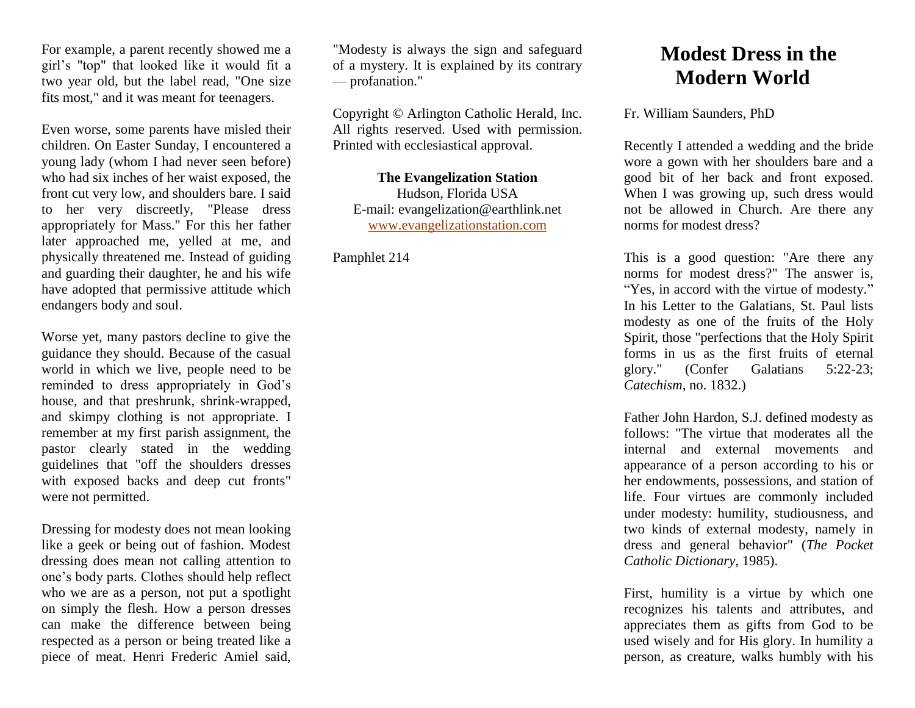For example, a parent recently showed me a girl's "top" that looked like it would fit a two year old, but the label read, "One size fits most," and it was meant for teenagers.

Even worse, some parents have misled their children. On Easter Sunday, I encountered a young lady (whom I had never seen before) who had six inches of her waist exposed, the front cut very low, and shoulders bare. I said to her very discreetly, "Please dress appropriately for Mass." For this her father later approached me, yelled at me, and physically threatened me. Instead of guiding and guarding their daughter, he and his wife have adopted that permissive attitude which endangers body and soul.

Worse yet, many pastors decline to give the guidance they should. Because of the casual world in which we live, people need to be reminded to dress appropriately in God's house, and that preshrunk, shrink-wrapped, and skimpy clothing is not appropriate. I remember at my first parish assignment, the pastor clearly stated in the wedding guidelines that "off the shoulders dresses with exposed backs and deep cut fronts" were not permitted.

Dressing for modesty does not mean looking like a geek or being out of fashion. Modest dressing does mean not calling attention to one's body parts. Clothes should help reflect who we are as a person, not put a spotlight on simply the flesh. How a person dresses can make the difference between being respected as a person or being treated like a piece of meat. Henri Frederic Amiel said,

"Modesty is always the sign and safeguard of a mystery. It is explained by its contrary — profanation."

Copyright © Arlington Catholic Herald, Inc. All rights reserved. Used with permission. Printed with ecclesiastical approval.

## **The Evangelization Station** Hudson, Florida USA

E-mail: evangelization@earthlink.net [www.evangelizationstation.com](http://www.pjpiisoe.org/)

Pamphlet 214

## **Modest Dress in the Modern World**

Fr. William Saunders, PhD

Recently I attended a wedding and the bride wore a gown with her shoulders bare and a good bit of her back and front exposed. When I was growing up, such dress would not be allowed in Church. Are there any norms for modest dress?

This is a good question: "Are there any norms for modest dress?" The answer is, "Yes, in accord with the virtue of modesty." In his Letter to the Galatians, St. Paul lists modesty as one of the fruits of the Holy Spirit, those "perfections that the Holy Spirit forms in us as the first fruits of eternal glory." (Confer Galatians 5:22-23; *Catechism*, no. 1832.)

Father John Hardon, S.J. defined modesty as follows: "The virtue that moderates all the internal and external movements and appearance of a person according to his or her endowments, possessions, and station of life. Four virtues are commonly included under modesty: humility, studiousness, and two kinds of external modesty, namely in dress and general behavior" (*The Pocket Catholic Dictionary*, 1985).

First, humility is a virtue by which one recognizes his talents and attributes, and appreciates them as gifts from God to be used wisely and for His glory. In humility a person, as creature, walks humbly with his